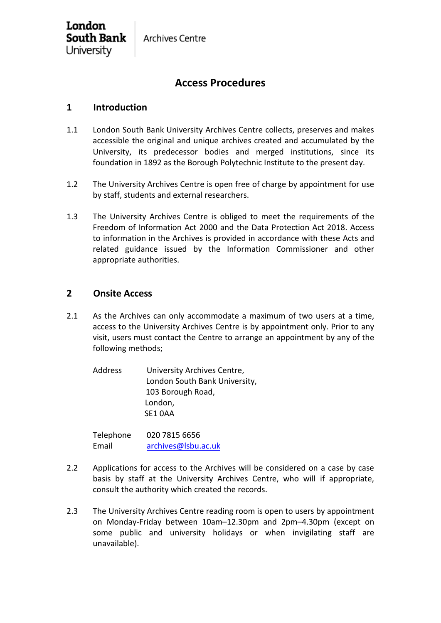# **Access Procedures**

## **1 Introduction**

London

University

South Bank

- 1.1 London South Bank University Archives Centre collects, preserves and makes accessible the original and unique archives created and accumulated by the University, its predecessor bodies and merged institutions, since its foundation in 1892 as the Borough Polytechnic Institute to the present day.
- 1.2 The University Archives Centre is open free of charge by appointment for use by staff, students and external researchers.
- 1.3 The University Archives Centre is obliged to meet the requirements of the Freedom of Information Act 2000 and the Data Protection Act 2018. Access to information in the Archives is provided in accordance with these Acts and related guidance issued by the Information Commissioner and other appropriate authorities.

### **2 Onsite Access**

- 2.1 As the Archives can only accommodate a maximum of two users at a time, access to the University Archives Centre is by appointment only. Prior to any visit, users must contact the Centre to arrange an appointment by any of the following methods;
	- Address University Archives Centre, London South Bank University, 103 Borough Road, London, SE1 0AA

Telephone 020 7815 6656 Email [archives@lsbu.ac.uk](mailto:archives@lsbu.ac.uk)

- 2.2 Applications for access to the Archives will be considered on a case by case basis by staff at the University Archives Centre, who will if appropriate, consult the authority which created the records.
- 2.3 The University Archives Centre reading room is open to users by appointment on Monday-Friday between 10am–12.30pm and 2pm–4.30pm (except on some public and university holidays or when invigilating staff are unavailable).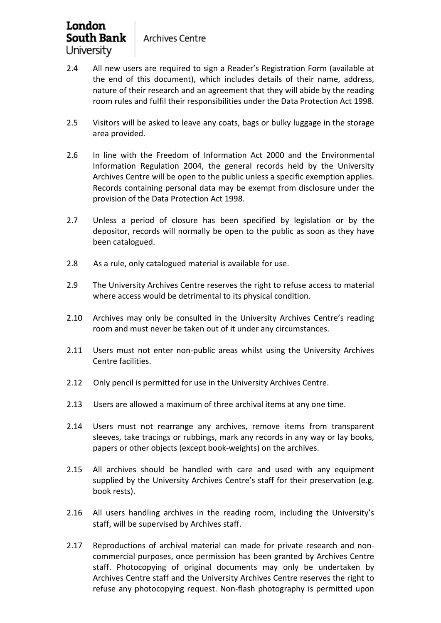- 2.4 All new users are required to sign a Reader's Registration Form (available at the end of this document), which includes details of their name, address, nature of their research and an agreement that they will abide by the reading room rules and fulfil their responsibilities under the Data Protection Act 1998.
- 2.5 Visitors will be asked to leave any coats, bags or bulky luggage in the storage area provided.
- 2.6 In line with the Freedom of Information Act 2000 and the Environmental Information Regulation 2004, the general records held by the University Archives Centre will be open to the public unless a specific exemption applies. Records containing personal data may be exempt from disclosure under the provision of the Data Protection Act 1998.
- 2.7 Unless a period of closure has been specified by legislation or by the depositor, records will normally be open to the public as soon as they have been catalogued.
- 2.8 As a rule, only catalogued material is available for use.
- 2.9 The University Archives Centre reserves the right to refuse access to material where access would be detrimental to its physical condition.
- 2.10 Archives may only be consulted in the University Archives Centre's reading room and must never be taken out of it under any circumstances.
- 2.11 Users must not enter non-public areas whilst using the University Archives Centre facilities.
- 2.12 Only pencil is permitted for use in the University Archives Centre.
- 2.13 Users are allowed a maximum of three archival items at any one time.
- 2.14 Users must not rearrange any archives, remove items from transparent sleeves, take tracings or rubbings, mark any records in any way or lay books, papers or other objects (except book-weights) on the archives.
- 2.15 All archives should be handled with care and used with any equipment supplied by the University Archives Centre's staff for their preservation (e.g. book rests).
- 2.16 All users handling archives in the reading room, including the University's staff, will be supervised by Archives staff.
- 2.17 Reproductions of archival material can made for private research and noncommercial purposes, once permission has been granted by Archives Centre staff. Photocopying of original documents may only be undertaken by Archives Centre staff and the University Archives Centre reserves the right to refuse any photocopying request. Non-flash photography is permitted upon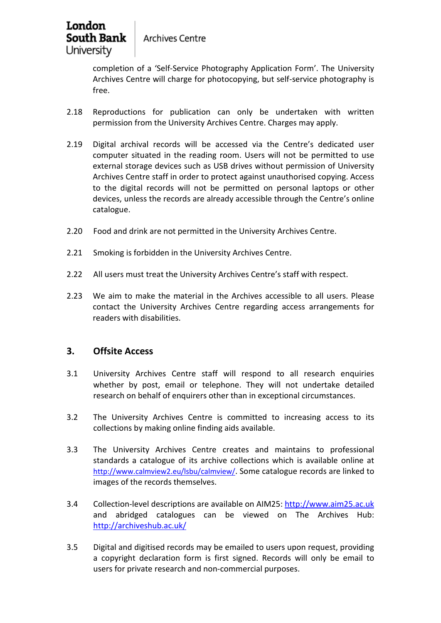**Archives Centre** 

completion of a 'Self-Service Photography Application Form'. The University Archives Centre will charge for photocopying, but self-service photography is free.

- 2.18 Reproductions for publication can only be undertaken with written permission from the University Archives Centre. Charges may apply.
- 2.19 Digital archival records will be accessed via the Centre's dedicated user computer situated in the reading room. Users will not be permitted to use external storage devices such as USB drives without permission of University Archives Centre staff in order to protect against unauthorised copying. Access to the digital records will not be permitted on personal laptops or other devices, unless the records are already accessible through the Centre's online catalogue.
- 2.20 Food and drink are not permitted in the University Archives Centre.
- 2.21 Smoking is forbidden in the University Archives Centre.
- 2.22 All users must treat the University Archives Centre's staff with respect.
- 2.23 We aim to make the material in the Archives accessible to all users. Please contact the University Archives Centre regarding access arrangements for [readers with disabilities.](http://www.bodley.ox.ac.uk/guides/pdf/disabilities.pdf)

### **3. Offsite Access**

- 3.1 University Archives Centre staff will respond to all research enquiries whether by post, email or telephone. They will not undertake detailed research on behalf of enquirers other than in exceptional circumstances.
- 3.2 The University Archives Centre is committed to increasing access to its collections by making online finding aids available.
- 3.3 The University Archives Centre creates and maintains to professional standards a catalogue of its archive collections which is available online at [http://www.calmview2.eu/lsbu/calmview/.](https://mail.lsbu.ac.uk/owa/redir.aspx?C=KaNbRHfAZfftpmXr9a2_7aoxo9OnM-LYYqqzdsZWKYNrrz9dIMLVCA..&URL=http%3a%2f%2fwww.calmview2.eu%2flsbu%2fcalmview%2f) Some catalogue records are linked to images of the records themselves.
- 3.4 Collection-level descriptions are available on AIM25: [http://www.aim25.ac.uk](http://www.aim25.ac.uk/) and abridged catalogues can be viewed on The Archives Hub: <http://archiveshub.ac.uk/>
- 3.5 Digital and digitised records may be emailed to users upon request, providing a copyright declaration form is first signed. Records will only be email to users for private research and non-commercial purposes.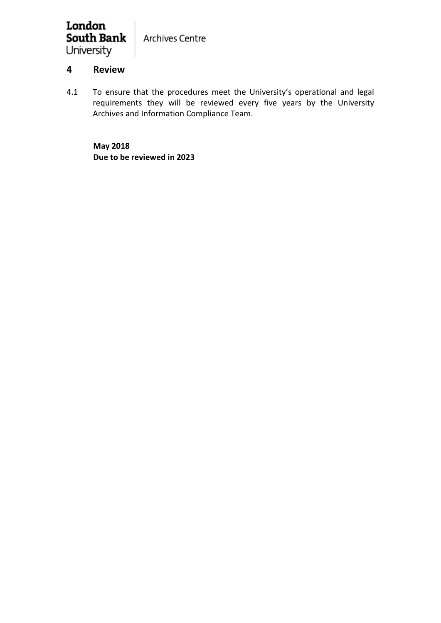#### London **South Bank Archives Centre** University

## **4 Review**

4.1 To ensure that the procedures meet the University's operational and legal requirements they will be reviewed every five years by the University Archives and Information Compliance Team.

**May 2018 Due to be reviewed in 2023**